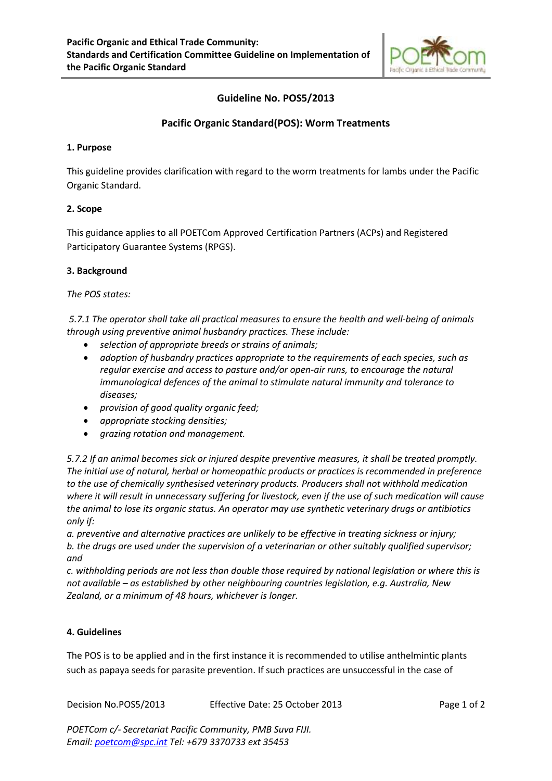

# **Guideline No. POS5/2013**

## **Pacific Organic Standard(POS): Worm Treatments**

#### **1. Purpose**

This guideline provides clarification with regard to the worm treatments for lambs under the Pacific Organic Standard.

### **2. Scope**

This guidance applies to all POETCom Approved Certification Partners (ACPs) and Registered Participatory Guarantee Systems (RPGS).

### **3. Background**

*The POS states:*

*5.7.1 The operator shall take all practical measures to ensure the health and well-being of animals through using preventive animal husbandry practices. These include:*

- x *selection of appropriate breeds or strains of animals;*
- x *adoption of husbandry practices appropriate to the requirements of each species, such as regular exercise and access to pasture and/or open-air runs, to encourage the natural immunological defences of the animal to stimulate natural immunity and tolerance to diseases;*
- x *provision of good quality organic feed;*
- x *appropriate stocking densities;*
- x *grazing rotation and management.*

*5.7.2 If an animal becomes sick or injured despite preventive measures, it shall be treated promptly. The initial use of natural, herbal or homeopathic products or practices is recommended in preference to the use of chemically synthesised veterinary products. Producers shall not withhold medication where it will result in unnecessary suffering for livestock, even if the use of such medication will cause the animal to lose its organic status. An operator may use synthetic veterinary drugs or antibiotics only if:*

*a. preventive and alternative practices are unlikely to be effective in treating sickness or injury; b. the drugs are used under the supervision of a veterinarian or other suitably qualified supervisor; and*

*c. withholding periods are not less than double those required by national legislation or where this is not available – as established by other neighbouring countries legislation, e.g. Australia, New Zealand, or a minimum of 48 hours, whichever is longer.*

### **4. Guidelines**

The POS is to be applied and in the first instance it is recommended to utilise anthelmintic plants such as papaya seeds for parasite prevention. If such practices are unsuccessful in the case of